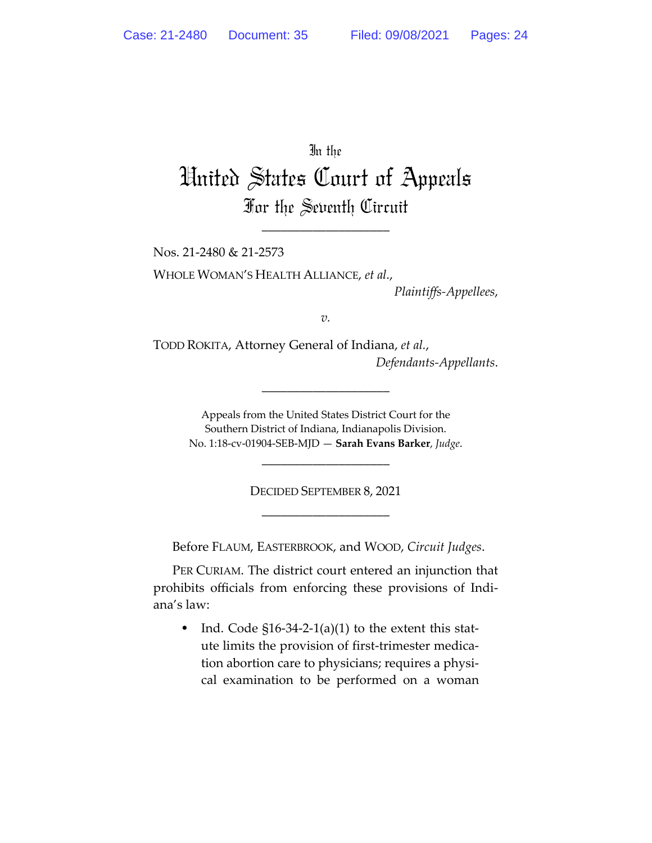In the

# United States Court of Appeals For the Seventh Circuit

\_\_\_\_\_\_\_\_\_\_\_\_\_\_\_\_\_\_\_\_

Nos. 21-2480 & 21-2573

WHOLE WOMAN'S HEALTH ALLIANCE, *et al.*,

*Plaintiffs-Appellees*,

*v.*

TODD ROKITA, Attorney General of Indiana, *et al.*, *Defendants-Appellants*.

\_\_\_\_\_\_\_\_\_\_\_\_\_\_\_\_\_\_\_\_

Appeals from the United States District Court for the Southern District of Indiana, Indianapolis Division. No. 1:18-cv-01904-SEB-MJD — **Sarah Evans Barker**, *Judge*.

\_\_\_\_\_\_\_\_\_\_\_\_\_\_\_\_\_\_\_\_

DECIDED SEPTEMBER 8, 2021 \_\_\_\_\_\_\_\_\_\_\_\_\_\_\_\_\_\_\_\_

Before FLAUM, EASTERBROOK, and WOOD, *Circuit Judges*.

PER CURIAM. The district court entered an injunction that prohibits officials from enforcing these provisions of Indiana's law:

• Ind. Code  $$16-34-2-1(a)(1)$  to the extent this statute limits the provision of first-trimester medication abortion care to physicians; requires a physical examination to be performed on a woman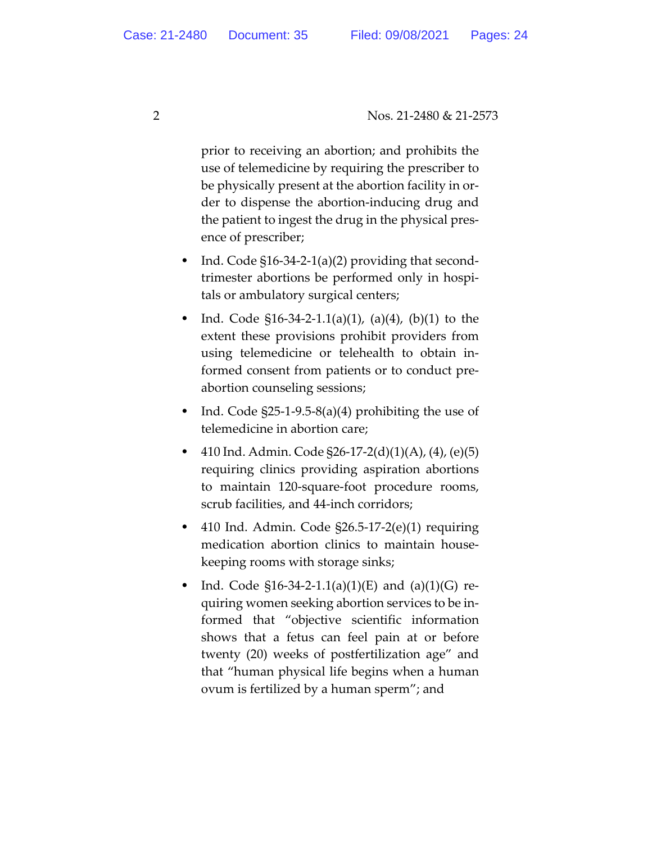prior to receiving an abortion; and prohibits the use of telemedicine by requiring the prescriber to be physically present at the abortion facility in order to dispense the abortion-inducing drug and the patient to ingest the drug in the physical presence of prescriber;

- Ind. Code §16-34-2-1(a)(2) providing that secondtrimester abortions be performed only in hospitals or ambulatory surgical centers;
- Ind. Code  $$16-34-2-1.1(a)(1)$ ,  $(a)(4)$ ,  $(b)(1)$  to the extent these provisions prohibit providers from using telemedicine or telehealth to obtain informed consent from patients or to conduct preabortion counseling sessions;
- Ind. Code §25-1-9.5-8(a)(4) prohibiting the use of telemedicine in abortion care;
- 410 Ind. Admin. Code §26-17-2(d)(1)(A), (4), (e)(5) requiring clinics providing aspiration abortions to maintain 120-square-foot procedure rooms, scrub facilities, and 44-inch corridors;
- 410 Ind. Admin. Code §26.5-17-2(e)(1) requiring medication abortion clinics to maintain housekeeping rooms with storage sinks;
- Ind. Code  $$16-34-2-1.1(a)(1)(E)$  and  $(a)(1)(G)$  requiring women seeking abortion services to be informed that "objective scientific information shows that a fetus can feel pain at or before twenty (20) weeks of postfertilization age" and that "human physical life begins when a human ovum is fertilized by a human sperm"; and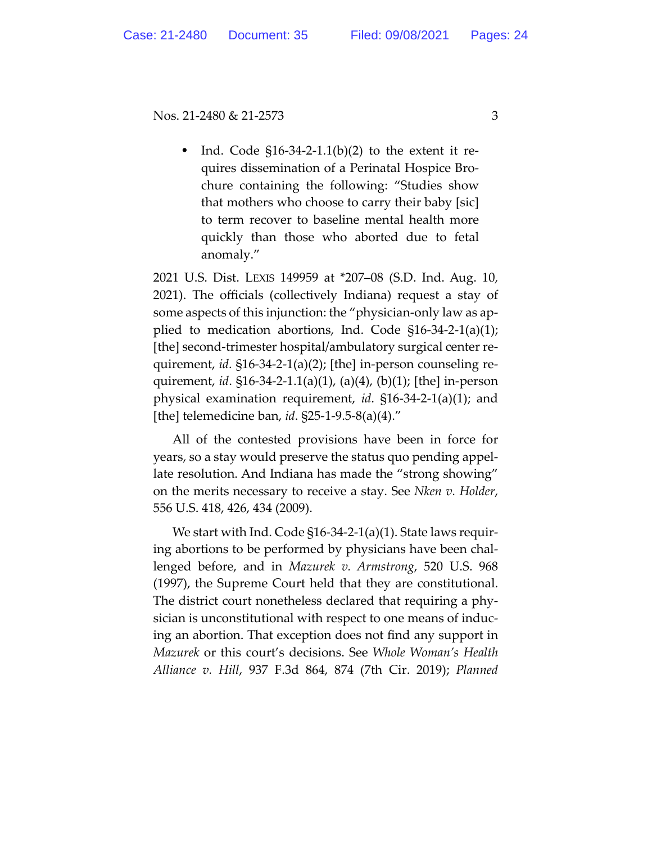Ind. Code  $$16-34-2-1.1(b)(2)$  to the extent it requires dissemination of a Perinatal Hospice Brochure containing the following: "Studies show that mothers who choose to carry their baby [sic] to term recover to baseline mental health more quickly than those who aborted due to fetal anomaly."

2021 U.S. Dist. LEXIS 149959 at \*207–08 (S.D. Ind. Aug. 10, 2021). The officials (collectively Indiana) request a stay of some aspects of this injunction: the "physician-only law as applied to medication abortions, Ind. Code §16-34-2-1(a)(1); [the] second-trimester hospital/ambulatory surgical center requirement, *id*. §16-34-2-1(a)(2); [the] in-person counseling requirement, *id*. §16-34-2-1.1(a)(1), (a)(4), (b)(1); [the] in-person physical examination requirement, *id*. §16-34-2-1(a)(1); and [the] telemedicine ban, *id*. §25-1-9.5-8(a)(4)."

All of the contested provisions have been in force for years, so a stay would preserve the status quo pending appellate resolution. And Indiana has made the "strong showing" on the merits necessary to receive a stay. See *Nken v. Holder*, 556 U.S. 418, 426, 434 (2009).

We start with Ind. Code §16-34-2-1(a)(1). State laws requiring abortions to be performed by physicians have been challenged before, and in *Mazurek v. Armstrong*, 520 U.S. 968 (1997), the Supreme Court held that they are constitutional. The district court nonetheless declared that requiring a physician is unconstitutional with respect to one means of inducing an abortion. That exception does not find any support in *Mazurek* or this court's decisions. See *Whole Woman's Health Alliance v. Hill*, 937 F.3d 864, 874 (7th Cir. 2019); *Planned*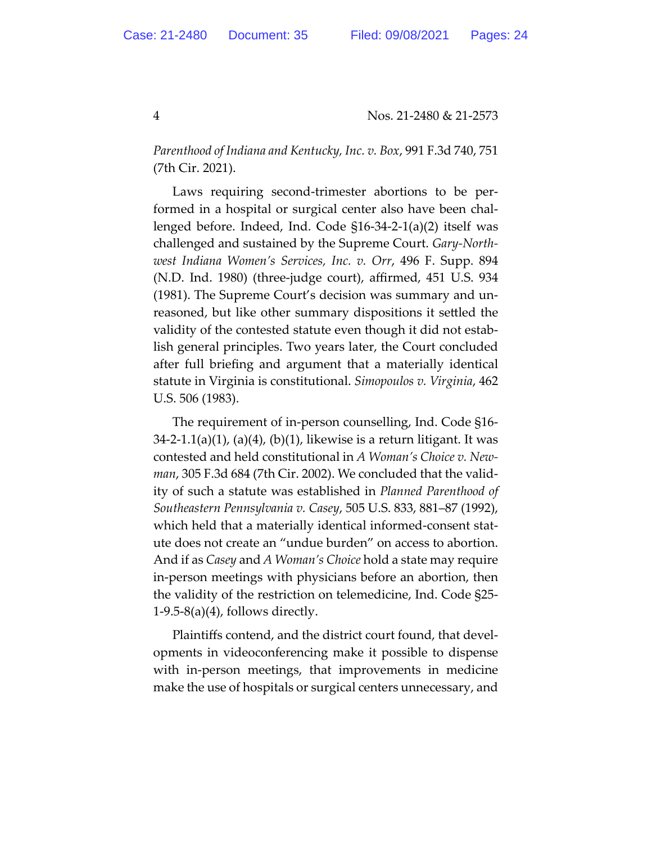*Parenthood of Indiana and Kentucky, Inc. v. Box*, 991 F.3d 740, 751 (7th Cir. 2021).

Laws requiring second-trimester abortions to be performed in a hospital or surgical center also have been challenged before. Indeed, Ind. Code §16-34-2-1(a)(2) itself was challenged and sustained by the Supreme Court. *Gary-Northwest Indiana Women's Services, Inc. v. Orr*, 496 F. Supp. 894 (N.D. Ind. 1980) (three-judge court), affirmed, 451 U.S. 934 (1981). The Supreme Court's decision was summary and unreasoned, but like other summary dispositions it settled the validity of the contested statute even though it did not establish general principles. Two years later, the Court concluded after full briefing and argument that a materially identical statute in Virginia is constitutional. *Simopoulos v. Virginia*, 462 U.S. 506 (1983).

The requirement of in-person counselling, Ind. Code §16-  $34$ -2-1.1(a)(1), (a)(4), (b)(1), likewise is a return litigant. It was contested and held constitutional in *A Woman's Choice v. Newman*, 305 F.3d 684 (7th Cir. 2002). We concluded that the validity of such a statute was established in *Planned Parenthood of Southeastern Pennsylvania v. Casey*, 505 U.S. 833, 881–87 (1992), which held that a materially identical informed-consent statute does not create an "undue burden" on access to abortion. And if as *Casey* and *A Woman's Choice* hold a state may require in-person meetings with physicians before an abortion, then the validity of the restriction on telemedicine, Ind. Code §25-  $1-9.5-8(a)(4)$ , follows directly.

Plaintiffs contend, and the district court found, that developments in videoconferencing make it possible to dispense with in-person meetings, that improvements in medicine make the use of hospitals or surgical centers unnecessary, and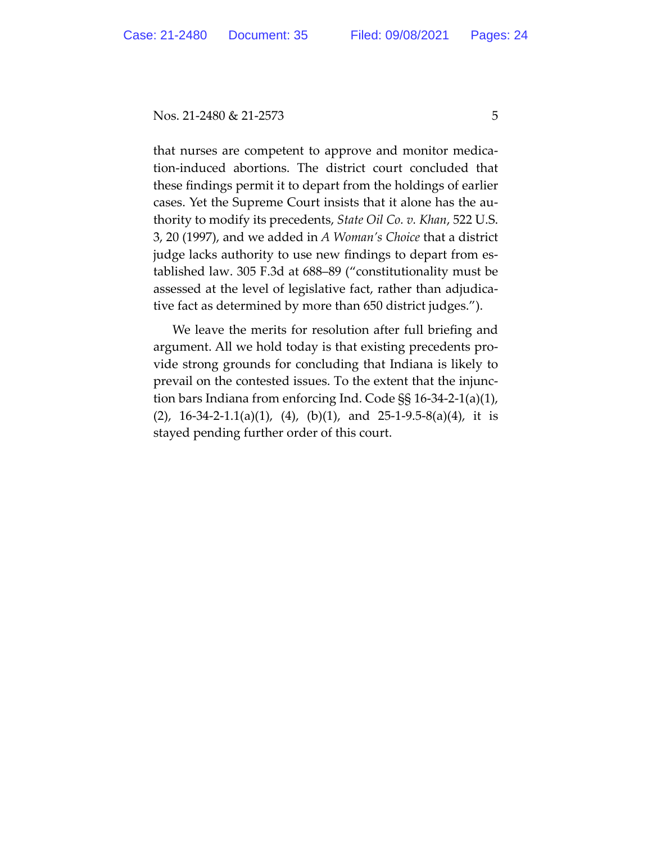that nurses are competent to approve and monitor medication-induced abortions. The district court concluded that these findings permit it to depart from the holdings of earlier cases. Yet the Supreme Court insists that it alone has the authority to modify its precedents, *State Oil Co. v. Khan*, 522 U.S. 3, 20 (1997), and we added in *A Woman's Choice* that a district judge lacks authority to use new findings to depart from established law. 305 F.3d at 688–89 ("constitutionality must be assessed at the level of legislative fact, rather than adjudicative fact as determined by more than 650 district judges.").

We leave the merits for resolution after full briefing and argument. All we hold today is that existing precedents provide strong grounds for concluding that Indiana is likely to prevail on the contested issues. To the extent that the injunction bars Indiana from enforcing Ind. Code §§ 16-34-2-1(a)(1),  $(2)$ , 16-34-2-1.1(a)(1), (4), (b)(1), and 25-1-9.5-8(a)(4), it is stayed pending further order of this court.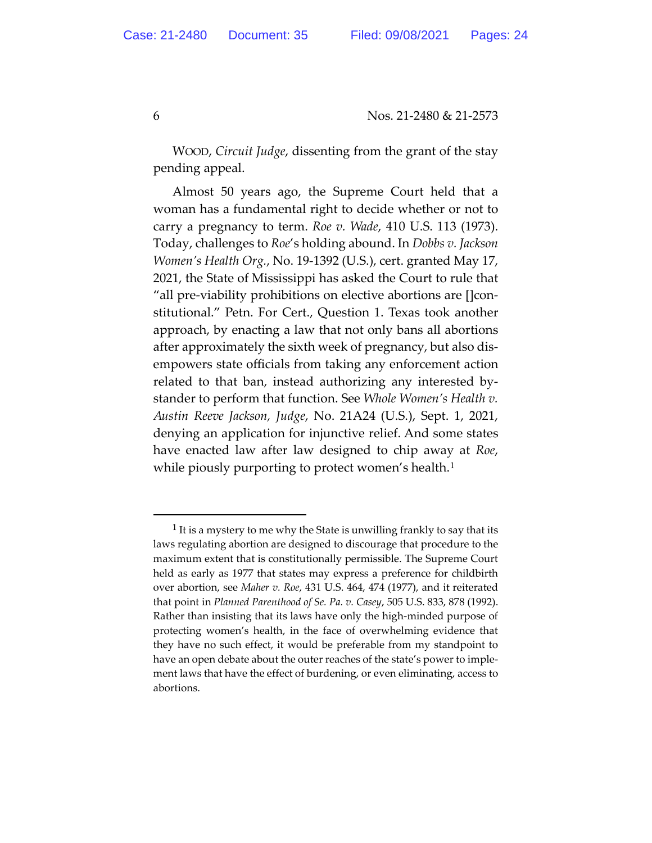WOOD, *Circuit Judge*, dissenting from the grant of the stay pending appeal.

Almost 50 years ago, the Supreme Court held that a woman has a fundamental right to decide whether or not to carry a pregnancy to term. *Roe v. Wade*, 410 U.S. 113 (1973). Today, challenges to *Roe*'s holding abound. In *Dobbs v. Jackson Women's Health Org.*, No. 19-1392 (U.S.), cert. granted May 17, 2021, the State of Mississippi has asked the Court to rule that "all pre-viability prohibitions on elective abortions are []constitutional." Petn. For Cert., Question 1. Texas took another approach, by enacting a law that not only bans all abortions after approximately the sixth week of pregnancy, but also disempowers state officials from taking any enforcement action related to that ban, instead authorizing any interested bystander to perform that function. See *Whole Women's Health v. Austin Reeve Jackson, Judge*, No. 21A24 (U.S.), Sept. 1, 2021, denying an application for injunctive relief. And some states have enacted law after law designed to chip away at *Roe*, while piously purporting to protect women's health.<sup>1</sup>

 $1$  It is a mystery to me why the State is unwilling frankly to say that its laws regulating abortion are designed to discourage that procedure to the maximum extent that is constitutionally permissible. The Supreme Court held as early as 1977 that states may express a preference for childbirth over abortion, see *Maher v. Roe*, 431 U.S. 464, 474 (1977), and it reiterated that point in *Planned Parenthood of Se. Pa. v. Casey*, 505 U.S. 833, 878 (1992). Rather than insisting that its laws have only the high-minded purpose of protecting women's health, in the face of overwhelming evidence that they have no such effect, it would be preferable from my standpoint to have an open debate about the outer reaches of the state's power to implement laws that have the effect of burdening, or even eliminating, access to abortions.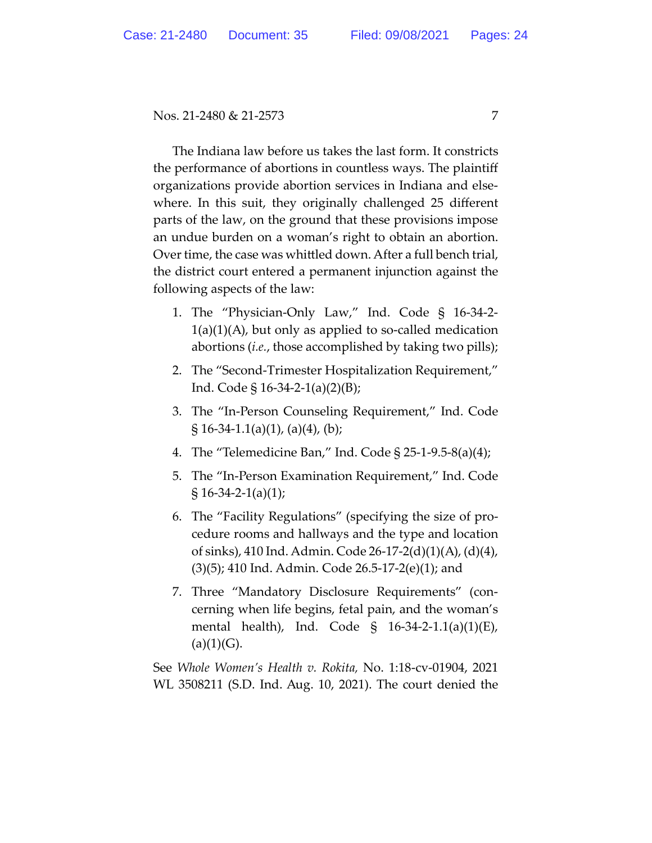The Indiana law before us takes the last form. It constricts the performance of abortions in countless ways. The plaintiff organizations provide abortion services in Indiana and elsewhere. In this suit, they originally challenged 25 different parts of the law, on the ground that these provisions impose an undue burden on a woman's right to obtain an abortion. Over time, the case was whittled down. After a full bench trial, the district court entered a permanent injunction against the following aspects of the law:

- 1. The "Physician-Only Law," Ind. Code § 16-34-2-  $1(a)(1)(A)$ , but only as applied to so-called medication abortions (*i.e.*, those accomplished by taking two pills);
- 2. The "Second-Trimester Hospitalization Requirement," Ind. Code § 16-34-2-1(a)(2)(B);
- 3. The "In-Person Counseling Requirement," Ind. Code § 16-34-1.1(a)(1), (a)(4), (b);
- 4. The "Telemedicine Ban," Ind. Code § 25-1-9.5-8(a)(4);
- 5. The "In-Person Examination Requirement," Ind. Code  $\S 16-34-2-1(a)(1);$
- 6. The "Facility Regulations" (specifying the size of procedure rooms and hallways and the type and location of sinks), 410 Ind. Admin. Code 26-17-2(d)(1)(A), (d)(4), (3)(5); 410 Ind. Admin. Code 26.5-17-2(e)(1); and
- 7. Three "Mandatory Disclosure Requirements" (concerning when life begins, fetal pain, and the woman's mental health), Ind. Code § 16-34-2-1.1(a)(1)(E),  $(a)(1)(G).$

See *Whole Women's Health v. Rokita,* No. 1:18-cv-01904, 2021 WL 3508211 (S.D. Ind. Aug. 10, 2021). The court denied the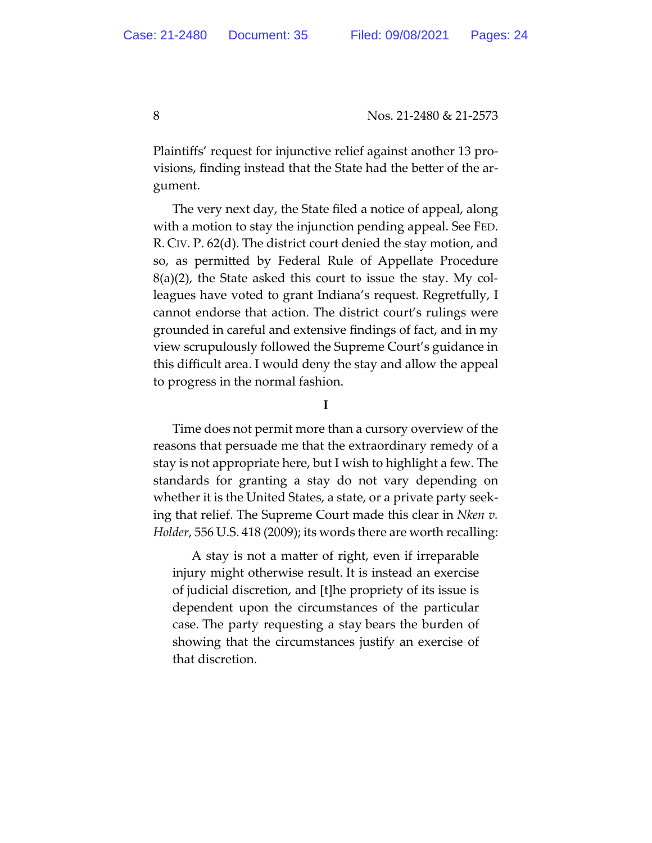Plaintiffs' request for injunctive relief against another 13 provisions, finding instead that the State had the better of the argument.

The very next day, the State filed a notice of appeal, along with a motion to stay the injunction pending appeal. See FED. R. CIV. P. 62(d). The district court denied the stay motion, and so, as permitted by Federal Rule of Appellate Procedure  $8(a)(2)$ , the State asked this court to issue the stay. My colleagues have voted to grant Indiana's request. Regretfully, I cannot endorse that action. The district court's rulings were grounded in careful and extensive findings of fact, and in my view scrupulously followed the Supreme Court's guidance in this difficult area. I would deny the stay and allow the appeal to progress in the normal fashion.

**I**

Time does not permit more than a cursory overview of the reasons that persuade me that the extraordinary remedy of a stay is not appropriate here, but I wish to highlight a few. The standards for granting a stay do not vary depending on whether it is the United States, a state, or a private party seeking that relief. The Supreme Court made this clear in *Nken v. Holder*, 556 U.S. 418 (2009); its words there are worth recalling:

A stay is not a matter of right, even if irreparable injury might otherwise result. It is instead an exercise of judicial discretion, and [t]he propriety of its issue is dependent upon the circumstances of the particular case. The party requesting a stay bears the burden of showing that the circumstances justify an exercise of that discretion.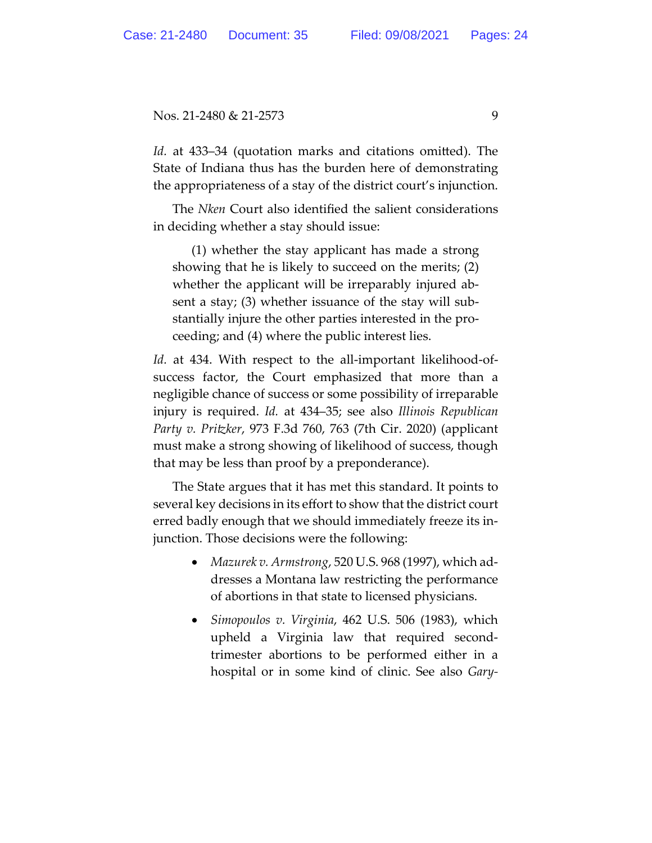*Id.* at 433–34 (quotation marks and citations omitted). The State of Indiana thus has the burden here of demonstrating the appropriateness of a stay of the district court's injunction.

The *Nken* Court also identified the salient considerations in deciding whether a stay should issue:

(1) whether the stay applicant has made a strong showing that he is likely to succeed on the merits; (2) whether the applicant will be irreparably injured absent a stay; (3) whether issuance of the stay will substantially injure the other parties interested in the proceeding; and (4) where the public interest lies.

*Id.* at 434. With respect to the all-important likelihood-ofsuccess factor, the Court emphasized that more than a negligible chance of success or some possibility of irreparable injury is required. *Id.* at 434–35; see also *Illinois Republican Party v. Pritzker*, 973 F.3d 760, 763 (7th Cir. 2020) (applicant must make a strong showing of likelihood of success, though that may be less than proof by a preponderance).

The State argues that it has met this standard. It points to several key decisions in its effort to show that the district court erred badly enough that we should immediately freeze its injunction. Those decisions were the following:

- *Mazurek v. Armstrong*, 520 U.S. 968 (1997), which addresses a Montana law restricting the performance of abortions in that state to licensed physicians.
- *Simopoulos v. Virginia*, 462 U.S. 506 (1983), which upheld a Virginia law that required secondtrimester abortions to be performed either in a hospital or in some kind of clinic. See also *Gary-*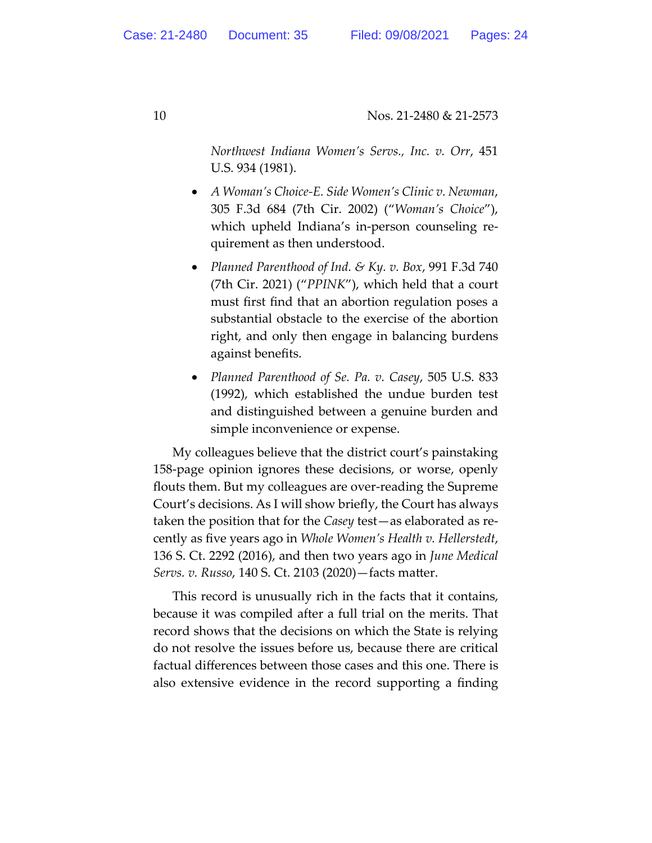*Northwest Indiana Women's Servs., Inc. v. Orr*, 451 U.S. 934 (1981).

- *A Woman's Choice-E. Side Women's Clinic v. Newman*, 305 F.3d 684 (7th Cir. 2002) ("*Woman's Choice*"), which upheld Indiana's in-person counseling requirement as then understood.
- *Planned Parenthood of Ind. & Ky. v. Box*, 991 F.3d 740 (7th Cir. 2021) ("*PPINK*"), which held that a court must first find that an abortion regulation poses a substantial obstacle to the exercise of the abortion right, and only then engage in balancing burdens against benefits.
- *Planned Parenthood of Se. Pa. v. Casey*, 505 U.S. 833 (1992), which established the undue burden test and distinguished between a genuine burden and simple inconvenience or expense.

My colleagues believe that the district court's painstaking 158-page opinion ignores these decisions, or worse, openly flouts them. But my colleagues are over-reading the Supreme Court's decisions. As I will show briefly, the Court has always taken the position that for the *Casey* test—as elaborated as recently as five years ago in *Whole Women's Health v. Hellerstedt*, 136 S. Ct. 2292 (2016), and then two years ago in *June Medical Servs. v. Russo*, 140 S. Ct. 2103 (2020)—facts matter.

This record is unusually rich in the facts that it contains, because it was compiled after a full trial on the merits. That record shows that the decisions on which the State is relying do not resolve the issues before us, because there are critical factual differences between those cases and this one. There is also extensive evidence in the record supporting a finding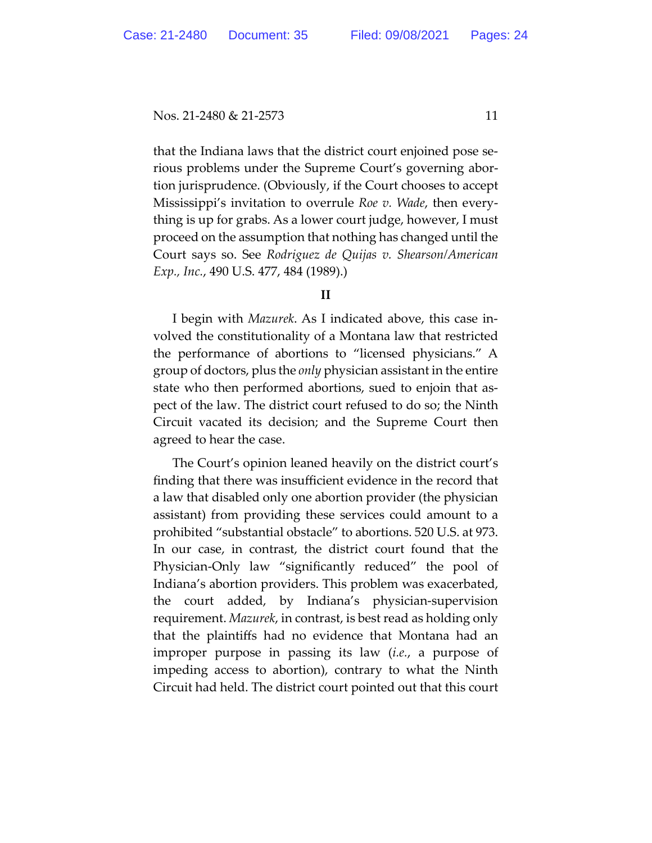that the Indiana laws that the district court enjoined pose serious problems under the Supreme Court's governing abortion jurisprudence. (Obviously, if the Court chooses to accept Mississippi's invitation to overrule *Roe v. Wade*, then everything is up for grabs. As a lower court judge, however, I must proceed on the assumption that nothing has changed until the Court says so. See *Rodriguez de Quijas v. Shearson/American Exp., Inc.*, 490 U.S. 477, 484 (1989).)

#### **II**

I begin with *Mazurek*. As I indicated above, this case involved the constitutionality of a Montana law that restricted the performance of abortions to "licensed physicians." A group of doctors, plus the *only* physician assistant in the entire state who then performed abortions, sued to enjoin that aspect of the law. The district court refused to do so; the Ninth Circuit vacated its decision; and the Supreme Court then agreed to hear the case.

The Court's opinion leaned heavily on the district court's finding that there was insufficient evidence in the record that a law that disabled only one abortion provider (the physician assistant) from providing these services could amount to a prohibited "substantial obstacle" to abortions. 520 U.S. at 973. In our case, in contrast, the district court found that the Physician-Only law "significantly reduced" the pool of Indiana's abortion providers. This problem was exacerbated, the court added, by Indiana's physician-supervision requirement. *Mazurek*, in contrast, is best read as holding only that the plaintiffs had no evidence that Montana had an improper purpose in passing its law (*i.e.*, a purpose of impeding access to abortion), contrary to what the Ninth Circuit had held. The district court pointed out that this court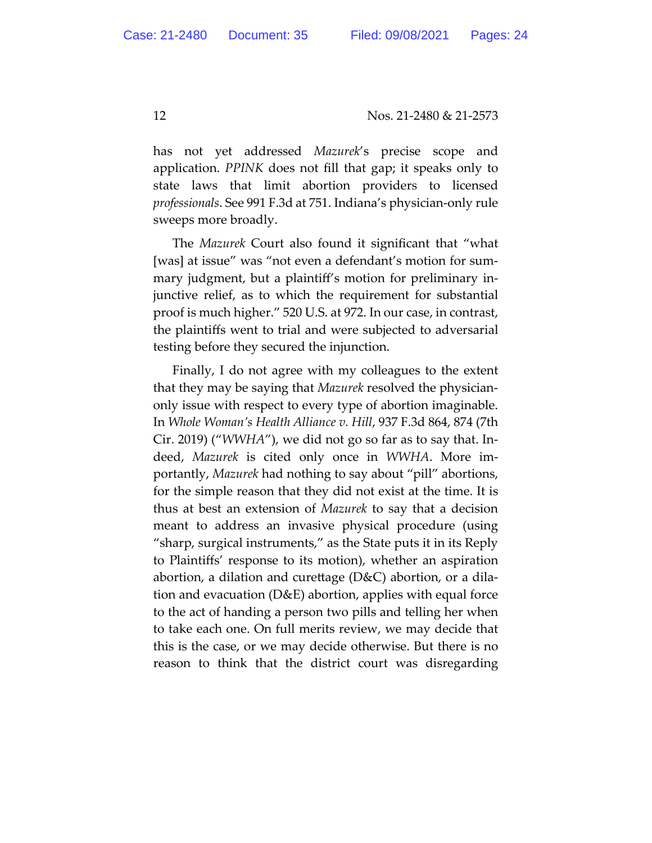has not yet addressed *Mazurek*'s precise scope and application. *PPINK* does not fill that gap; it speaks only to state laws that limit abortion providers to licensed *professionals*. See 991 F.3d at 751. Indiana's physician-only rule sweeps more broadly.

The *Mazurek* Court also found it significant that "what [was] at issue" was "not even a defendant's motion for summary judgment, but a plaintiff's motion for preliminary injunctive relief, as to which the requirement for substantial proof is much higher." 520 U.S. at 972. In our case, in contrast, the plaintiffs went to trial and were subjected to adversarial testing before they secured the injunction.

Finally, I do not agree with my colleagues to the extent that they may be saying that *Mazurek* resolved the physicianonly issue with respect to every type of abortion imaginable. In *Whole Woman's Health Alliance v. Hill*, 937 F.3d 864, 874 (7th Cir. 2019) ("*WWHA*"), we did not go so far as to say that. Indeed, *Mazurek* is cited only once in *WWHA*. More importantly, *Mazurek* had nothing to say about "pill" abortions, for the simple reason that they did not exist at the time. It is thus at best an extension of *Mazurek* to say that a decision meant to address an invasive physical procedure (using "sharp, surgical instruments," as the State puts it in its Reply to Plaintiffs' response to its motion), whether an aspiration abortion, a dilation and curettage (D&C) abortion, or a dilation and evacuation (D&E) abortion, applies with equal force to the act of handing a person two pills and telling her when to take each one. On full merits review, we may decide that this is the case, or we may decide otherwise. But there is no reason to think that the district court was disregarding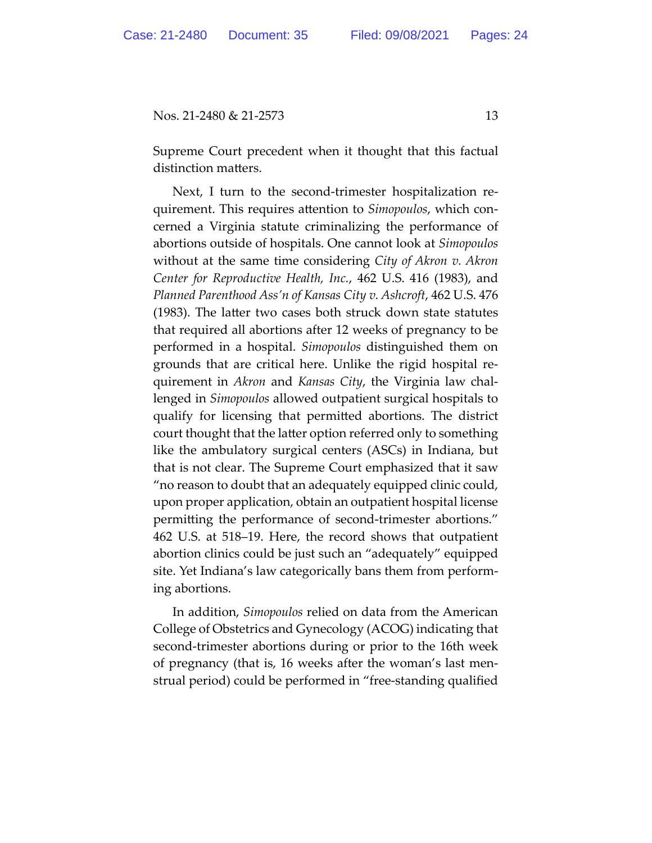Supreme Court precedent when it thought that this factual distinction matters.

Next, I turn to the second-trimester hospitalization requirement. This requires attention to *Simopoulos*, which concerned a Virginia statute criminalizing the performance of abortions outside of hospitals. One cannot look at *Simopoulos*  without at the same time considering *City of Akron v. Akron Center for Reproductive Health, Inc.*, 462 U.S. 416 (1983), and *Planned Parenthood Ass'n of Kansas City v. Ashcroft*, 462 U.S. 476 (1983). The latter two cases both struck down state statutes that required all abortions after 12 weeks of pregnancy to be performed in a hospital. *Simopoulos* distinguished them on grounds that are critical here. Unlike the rigid hospital requirement in *Akron* and *Kansas City*, the Virginia law challenged in *Simopoulos* allowed outpatient surgical hospitals to qualify for licensing that permitted abortions. The district court thought that the latter option referred only to something like the ambulatory surgical centers (ASCs) in Indiana, but that is not clear. The Supreme Court emphasized that it saw "no reason to doubt that an adequately equipped clinic could, upon proper application, obtain an outpatient hospital license permitting the performance of second-trimester abortions." 462 U.S. at 518–19. Here, the record shows that outpatient abortion clinics could be just such an "adequately" equipped site. Yet Indiana's law categorically bans them from performing abortions.

In addition, *Simopoulos* relied on data from the American College of Obstetrics and Gynecology (ACOG) indicating that second-trimester abortions during or prior to the 16th week of pregnancy (that is, 16 weeks after the woman's last menstrual period) could be performed in "free-standing qualified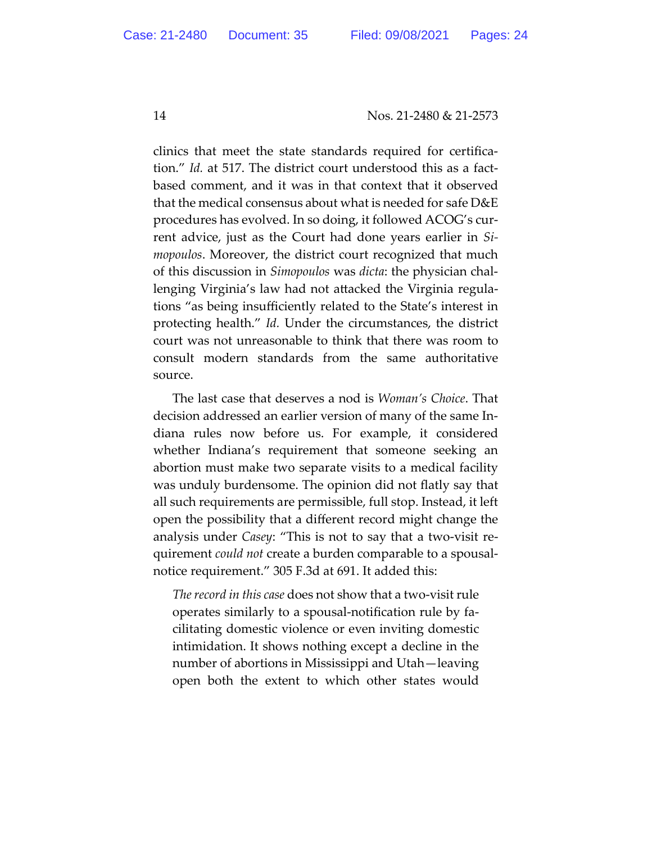clinics that meet the state standards required for certification." *Id.* at 517. The district court understood this as a factbased comment, and it was in that context that it observed that the medical consensus about what is needed for safe D&E procedures has evolved. In so doing, it followed ACOG's current advice, just as the Court had done years earlier in *Simopoulos*. Moreover, the district court recognized that much of this discussion in *Simopoulos* was *dicta*: the physician challenging Virginia's law had not attacked the Virginia regulations "as being insufficiently related to the State's interest in protecting health." *Id.* Under the circumstances, the district court was not unreasonable to think that there was room to consult modern standards from the same authoritative source.

The last case that deserves a nod is *Woman's Choice*. That decision addressed an earlier version of many of the same Indiana rules now before us. For example, it considered whether Indiana's requirement that someone seeking an abortion must make two separate visits to a medical facility was unduly burdensome. The opinion did not flatly say that all such requirements are permissible, full stop. Instead, it left open the possibility that a different record might change the analysis under *Casey*: "This is not to say that a two-visit requirement *could not* create a burden comparable to a spousalnotice requirement." 305 F.3d at 691. It added this:

*The record in this case* does not show that a two-visit rule operates similarly to a spousal-notification rule by facilitating domestic violence or even inviting domestic intimidation. It shows nothing except a decline in the number of abortions in Mississippi and Utah—leaving open both the extent to which other states would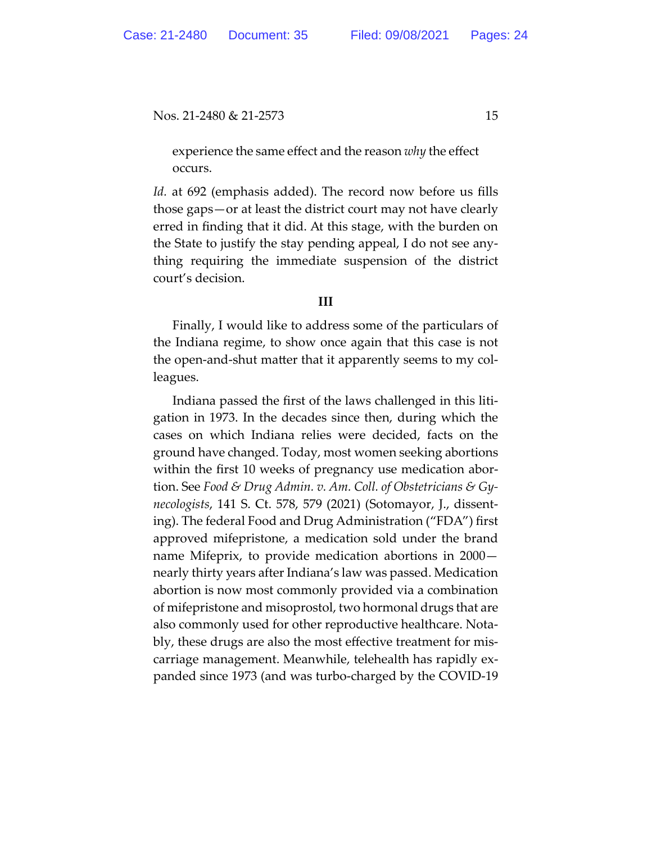experience the same effect and the reason *why* the effect occurs.

*Id.* at 692 (emphasis added). The record now before us fills those gaps—or at least the district court may not have clearly erred in finding that it did. At this stage, with the burden on the State to justify the stay pending appeal, I do not see anything requiring the immediate suspension of the district court's decision.

## **III**

Finally, I would like to address some of the particulars of the Indiana regime, to show once again that this case is not the open-and-shut matter that it apparently seems to my colleagues.

Indiana passed the first of the laws challenged in this litigation in 1973. In the decades since then, during which the cases on which Indiana relies were decided, facts on the ground have changed. Today, most women seeking abortions within the first 10 weeks of pregnancy use medication abortion. See *Food & Drug Admin. v. Am. Coll. of Obstetricians & Gynecologists*, 141 S. Ct. 578, 579 (2021) (Sotomayor, J., dissenting). The federal Food and Drug Administration ("FDA") first approved mifepristone, a medication sold under the brand name Mifeprix, to provide medication abortions in 2000 nearly thirty years after Indiana's law was passed. Medication abortion is now most commonly provided via a combination of mifepristone and misoprostol, two hormonal drugs that are also commonly used for other reproductive healthcare. Notably, these drugs are also the most effective treatment for miscarriage management. Meanwhile, telehealth has rapidly expanded since 1973 (and was turbo-charged by the COVID-19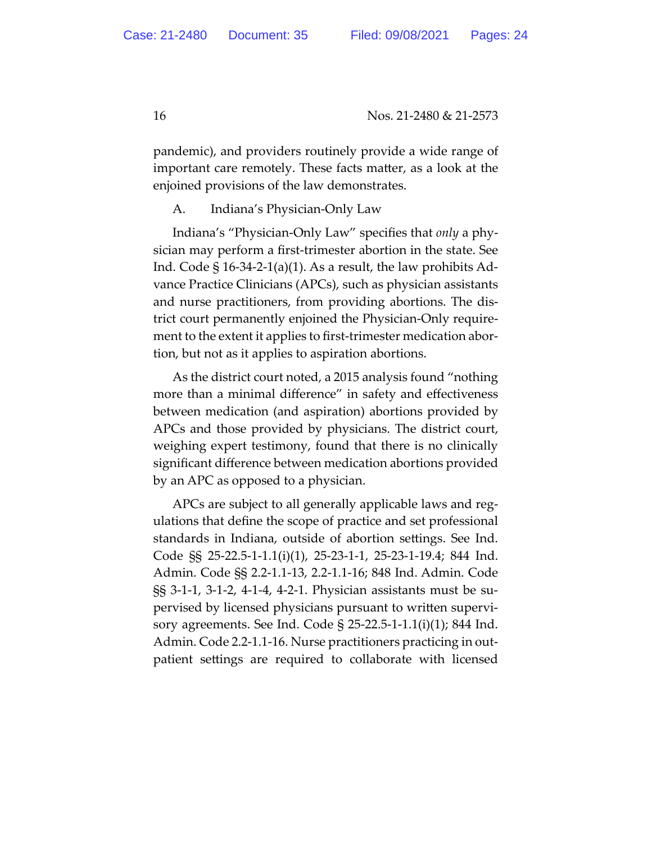pandemic), and providers routinely provide a wide range of important care remotely. These facts matter, as a look at the enjoined provisions of the law demonstrates.

A. Indiana's Physician-Only Law

Indiana's "Physician-Only Law" specifies that *only* a physician may perform a first-trimester abortion in the state. See Ind. Code  $\S$  16-34-2-1(a)(1). As a result, the law prohibits Advance Practice Clinicians (APCs), such as physician assistants and nurse practitioners, from providing abortions. The district court permanently enjoined the Physician-Only requirement to the extent it applies to first-trimester medication abortion, but not as it applies to aspiration abortions.

As the district court noted, a 2015 analysis found "nothing more than a minimal difference" in safety and effectiveness between medication (and aspiration) abortions provided by APCs and those provided by physicians. The district court, weighing expert testimony, found that there is no clinically significant difference between medication abortions provided by an APC as opposed to a physician.

APCs are subject to all generally applicable laws and regulations that define the scope of practice and set professional standards in Indiana, outside of abortion settings. See Ind. Code §§ 25-22.5-1-1.1(i)(1), 25-23-1-1, 25-23-1-19.4; 844 Ind. Admin. Code §§ 2.2-1.1-13, 2.2-1.1-16; 848 Ind. Admin. Code §§ 3-1-1, 3-1-2, 4-1-4, 4-2-1. Physician assistants must be supervised by licensed physicians pursuant to written supervisory agreements. See Ind. Code § 25-22.5-1-1.1(i)(1); 844 Ind. Admin. Code 2.2-1.1-16. Nurse practitioners practicing in outpatient settings are required to collaborate with licensed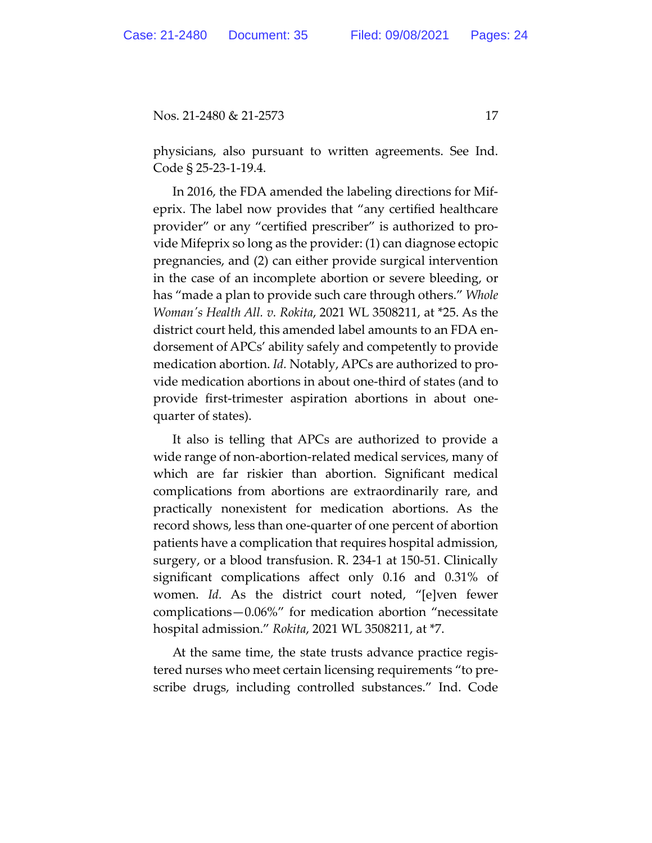physicians, also pursuant to written agreements. See Ind. Code § 25-23-1-19.4.

In 2016, the FDA amended the labeling directions for Mifeprix. The label now provides that "any certified healthcare provider" or any "certified prescriber" is authorized to provide Mifeprix so long as the provider: (1) can diagnose ectopic pregnancies, and (2) can either provide surgical intervention in the case of an incomplete abortion or severe bleeding, or has "made a plan to provide such care through others." *Whole Woman's Health All. v. Rokita*, 2021 WL 3508211, at \*25. As the district court held, this amended label amounts to an FDA endorsement of APCs' ability safely and competently to provide medication abortion. *Id.* Notably, APCs are authorized to provide medication abortions in about one-third of states (and to provide first-trimester aspiration abortions in about onequarter of states).

It also is telling that APCs are authorized to provide a wide range of non-abortion-related medical services, many of which are far riskier than abortion. Significant medical complications from abortions are extraordinarily rare, and practically nonexistent for medication abortions. As the record shows, less than one-quarter of one percent of abortion patients have a complication that requires hospital admission, surgery, or a blood transfusion. R. 234-1 at 150-51. Clinically significant complications affect only 0.16 and 0.31% of women. *Id.* As the district court noted, "[e]ven fewer complications—0.06%" for medication abortion "necessitate hospital admission." *Rokita*, 2021 WL 3508211, at \*7.

At the same time, the state trusts advance practice registered nurses who meet certain licensing requirements "to prescribe drugs, including controlled substances." Ind. Code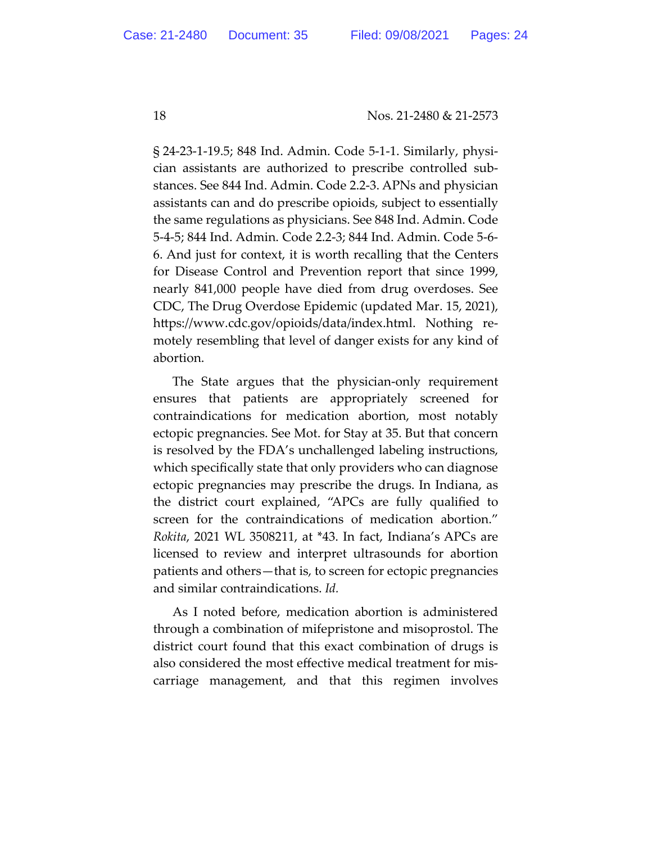§ 24-23-1-19.5; 848 Ind. Admin. Code 5-1-1. Similarly, physician assistants are authorized to prescribe controlled substances. See 844 Ind. Admin. Code 2.2-3. APNs and physician assistants can and do prescribe opioids, subject to essentially the same regulations as physicians. See 848 Ind. Admin. Code 5-4-5; 844 Ind. Admin. Code 2.2-3; 844 Ind. Admin. Code 5-6- 6. And just for context, it is worth recalling that the Centers for Disease Control and Prevention report that since 1999, nearly 841,000 people have died from drug overdoses. See CDC, The Drug Overdose Epidemic (updated Mar. 15, 2021), https://www.cdc.gov/opioids/data/index.html. Nothing remotely resembling that level of danger exists for any kind of abortion.

The State argues that the physician-only requirement ensures that patients are appropriately screened for contraindications for medication abortion, most notably ectopic pregnancies. See Mot. for Stay at 35. But that concern is resolved by the FDA's unchallenged labeling instructions, which specifically state that only providers who can diagnose ectopic pregnancies may prescribe the drugs. In Indiana, as the district court explained, "APCs are fully qualified to screen for the contraindications of medication abortion." *Rokita*, 2021 WL 3508211, at \*43. In fact, Indiana's APCs are licensed to review and interpret ultrasounds for abortion patients and others—that is, to screen for ectopic pregnancies and similar contraindications. *Id.*

As I noted before, medication abortion is administered through a combination of mifepristone and misoprostol. The district court found that this exact combination of drugs is also considered the most effective medical treatment for miscarriage management, and that this regimen involves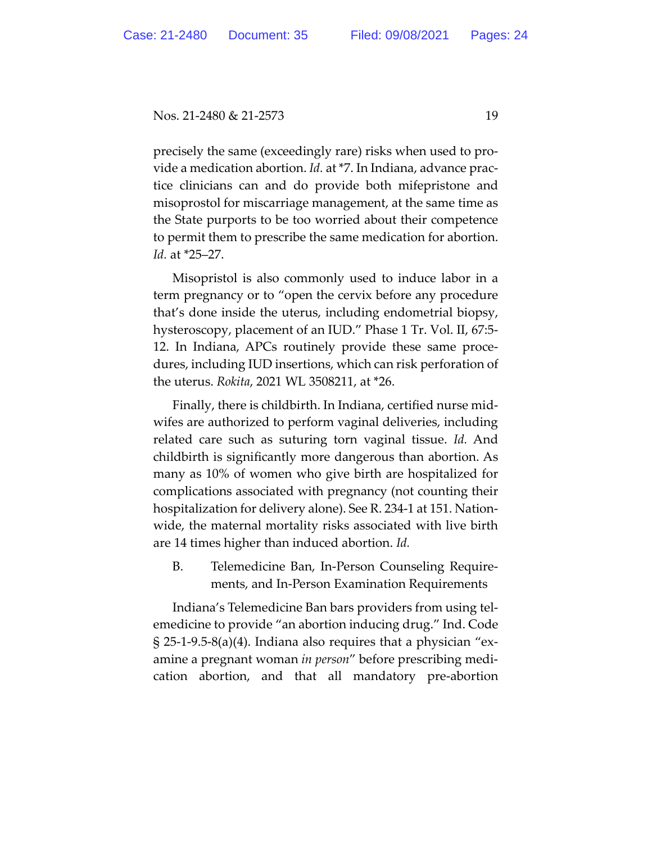precisely the same (exceedingly rare) risks when used to provide a medication abortion. *Id.* at \*7. In Indiana, advance practice clinicians can and do provide both mifepristone and misoprostol for miscarriage management, at the same time as the State purports to be too worried about their competence to permit them to prescribe the same medication for abortion. *Id.* at \*25–27.

Misopristol is also commonly used to induce labor in a term pregnancy or to "open the cervix before any procedure that's done inside the uterus, including endometrial biopsy, hysteroscopy, placement of an IUD." Phase 1 Tr. Vol. II, 67:5- 12. In Indiana, APCs routinely provide these same procedures, including IUD insertions, which can risk perforation of the uterus. *Rokita*, 2021 WL 3508211, at \*26.

Finally, there is childbirth. In Indiana, certified nurse midwifes are authorized to perform vaginal deliveries, including related care such as suturing torn vaginal tissue. *Id.* And childbirth is significantly more dangerous than abortion. As many as 10% of women who give birth are hospitalized for complications associated with pregnancy (not counting their hospitalization for delivery alone). See R. 234-1 at 151. Nationwide, the maternal mortality risks associated with live birth are 14 times higher than induced abortion. *Id.*

B. Telemedicine Ban, In-Person Counseling Requirements, and In-Person Examination Requirements

Indiana's Telemedicine Ban bars providers from using telemedicine to provide "an abortion inducing drug." Ind. Code  $\S 25$ -1-9.5-8(a)(4). Indiana also requires that a physician "examine a pregnant woman *in person*" before prescribing medication abortion, and that all mandatory pre-abortion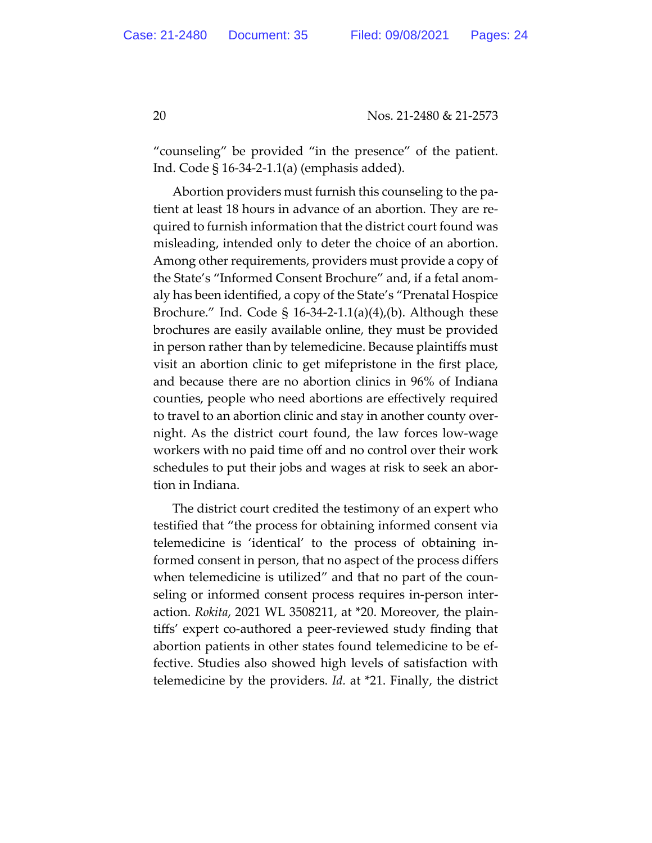"counseling" be provided "in the presence" of the patient. Ind. Code § 16-34-2-1.1(a) (emphasis added).

Abortion providers must furnish this counseling to the patient at least 18 hours in advance of an abortion. They are required to furnish information that the district court found was misleading, intended only to deter the choice of an abortion. Among other requirements, providers must provide a copy of the State's "Informed Consent Brochure" and, if a fetal anomaly has been identified, a copy of the State's "Prenatal Hospice Brochure." Ind. Code  $\S$  16-34-2-1.1(a)(4),(b). Although these brochures are easily available online, they must be provided in person rather than by telemedicine. Because plaintiffs must visit an abortion clinic to get mifepristone in the first place, and because there are no abortion clinics in 96% of Indiana counties, people who need abortions are effectively required to travel to an abortion clinic and stay in another county overnight. As the district court found, the law forces low-wage workers with no paid time off and no control over their work schedules to put their jobs and wages at risk to seek an abortion in Indiana.

The district court credited the testimony of an expert who testified that "the process for obtaining informed consent via telemedicine is 'identical' to the process of obtaining informed consent in person, that no aspect of the process differs when telemedicine is utilized" and that no part of the counseling or informed consent process requires in-person interaction. *Rokita*, 2021 WL 3508211, at \*20. Moreover, the plaintiffs' expert co-authored a peer-reviewed study finding that abortion patients in other states found telemedicine to be effective. Studies also showed high levels of satisfaction with telemedicine by the providers. *Id.* at \*21. Finally, the district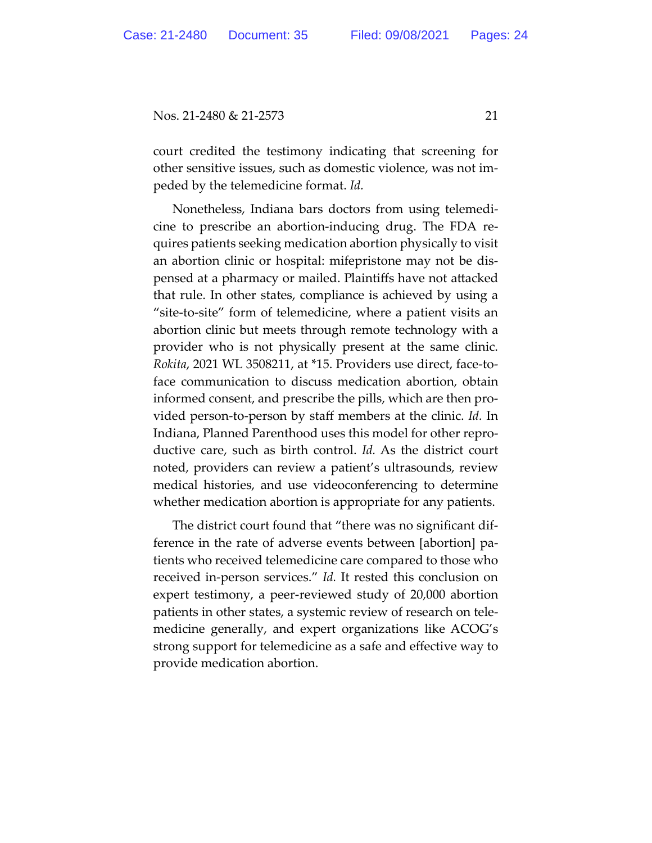court credited the testimony indicating that screening for other sensitive issues, such as domestic violence, was not impeded by the telemedicine format. *Id.*

Nonetheless, Indiana bars doctors from using telemedicine to prescribe an abortion-inducing drug. The FDA requires patients seeking medication abortion physically to visit an abortion clinic or hospital: mifepristone may not be dispensed at a pharmacy or mailed. Plaintiffs have not attacked that rule. In other states, compliance is achieved by using a "site-to-site" form of telemedicine, where a patient visits an abortion clinic but meets through remote technology with a provider who is not physically present at the same clinic. *Rokita*, 2021 WL 3508211, at \*15. Providers use direct, face-toface communication to discuss medication abortion, obtain informed consent, and prescribe the pills, which are then provided person-to-person by staff members at the clinic. *Id.* In Indiana, Planned Parenthood uses this model for other reproductive care, such as birth control. *Id.* As the district court noted, providers can review a patient's ultrasounds, review medical histories, and use videoconferencing to determine whether medication abortion is appropriate for any patients.

The district court found that "there was no significant difference in the rate of adverse events between [abortion] patients who received telemedicine care compared to those who received in-person services." *Id.* It rested this conclusion on expert testimony, a peer-reviewed study of 20,000 abortion patients in other states, a systemic review of research on telemedicine generally, and expert organizations like ACOG's strong support for telemedicine as a safe and effective way to provide medication abortion.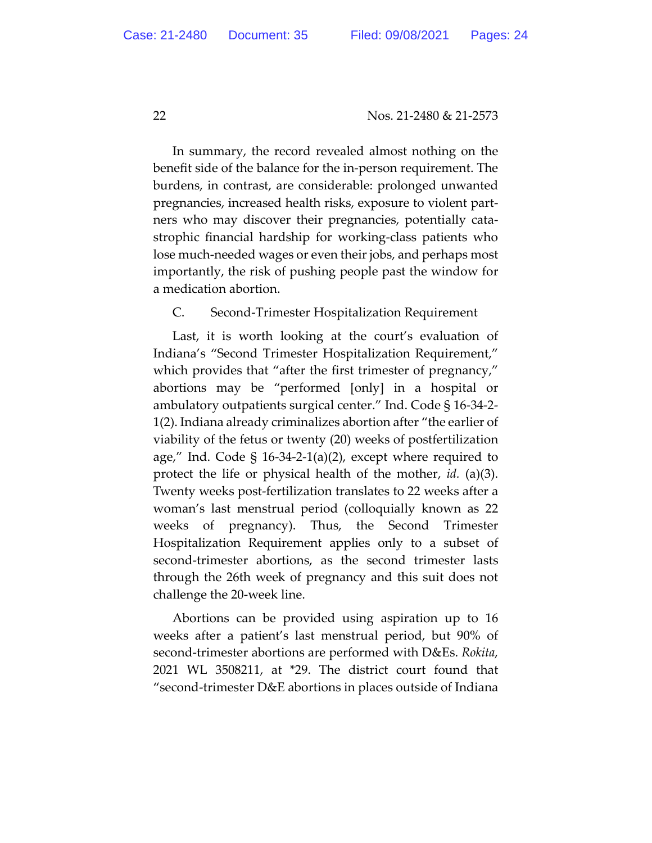In summary, the record revealed almost nothing on the benefit side of the balance for the in-person requirement. The burdens, in contrast, are considerable: prolonged unwanted pregnancies, increased health risks, exposure to violent partners who may discover their pregnancies, potentially catastrophic financial hardship for working-class patients who lose much-needed wages or even their jobs, and perhaps most importantly, the risk of pushing people past the window for a medication abortion.

# C. Second-Trimester Hospitalization Requirement

Last, it is worth looking at the court's evaluation of Indiana's "Second Trimester Hospitalization Requirement," which provides that "after the first trimester of pregnancy," abortions may be "performed [only] in a hospital or ambulatory outpatients surgical center." Ind. Code § 16-34-2- 1(2). Indiana already criminalizes abortion after "the earlier of viability of the fetus or twenty (20) weeks of postfertilization age," Ind. Code  $\S$  16-34-2-1(a)(2), except where required to protect the life or physical health of the mother, *id.* (a)(3). Twenty weeks post-fertilization translates to 22 weeks after a woman's last menstrual period (colloquially known as 22 weeks of pregnancy). Thus, the Second Trimester Hospitalization Requirement applies only to a subset of second-trimester abortions, as the second trimester lasts through the 26th week of pregnancy and this suit does not challenge the 20-week line.

Abortions can be provided using aspiration up to 16 weeks after a patient's last menstrual period, but 90% of second-trimester abortions are performed with D&Es. *Rokita*, 2021 WL 3508211, at \*29. The district court found that "second-trimester D&E abortions in places outside of Indiana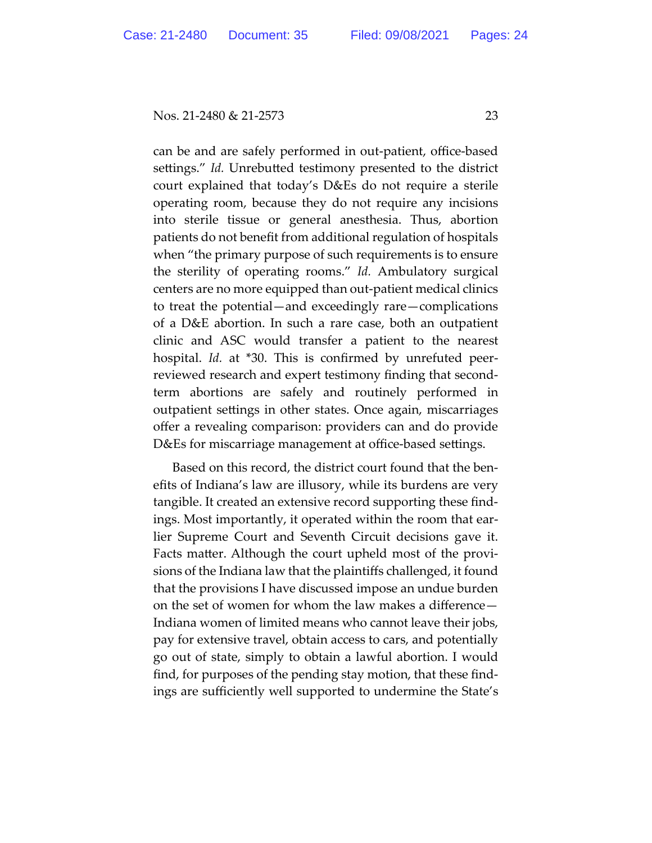can be and are safely performed in out-patient, office-based settings." *Id.* Unrebutted testimony presented to the district court explained that today's D&Es do not require a sterile operating room, because they do not require any incisions into sterile tissue or general anesthesia. Thus, abortion patients do not benefit from additional regulation of hospitals when "the primary purpose of such requirements is to ensure the sterility of operating rooms." *Id.* Ambulatory surgical centers are no more equipped than out-patient medical clinics to treat the potential—and exceedingly rare—complications of a D&E abortion. In such a rare case, both an outpatient clinic and ASC would transfer a patient to the nearest hospital. *Id.* at \*30. This is confirmed by unrefuted peerreviewed research and expert testimony finding that secondterm abortions are safely and routinely performed in outpatient settings in other states. Once again, miscarriages offer a revealing comparison: providers can and do provide D&Es for miscarriage management at office-based settings.

Based on this record, the district court found that the benefits of Indiana's law are illusory, while its burdens are very tangible. It created an extensive record supporting these findings. Most importantly, it operated within the room that earlier Supreme Court and Seventh Circuit decisions gave it. Facts matter. Although the court upheld most of the provisions of the Indiana law that the plaintiffs challenged, it found that the provisions I have discussed impose an undue burden on the set of women for whom the law makes a difference— Indiana women of limited means who cannot leave their jobs, pay for extensive travel, obtain access to cars, and potentially go out of state, simply to obtain a lawful abortion. I would find, for purposes of the pending stay motion, that these findings are sufficiently well supported to undermine the State's